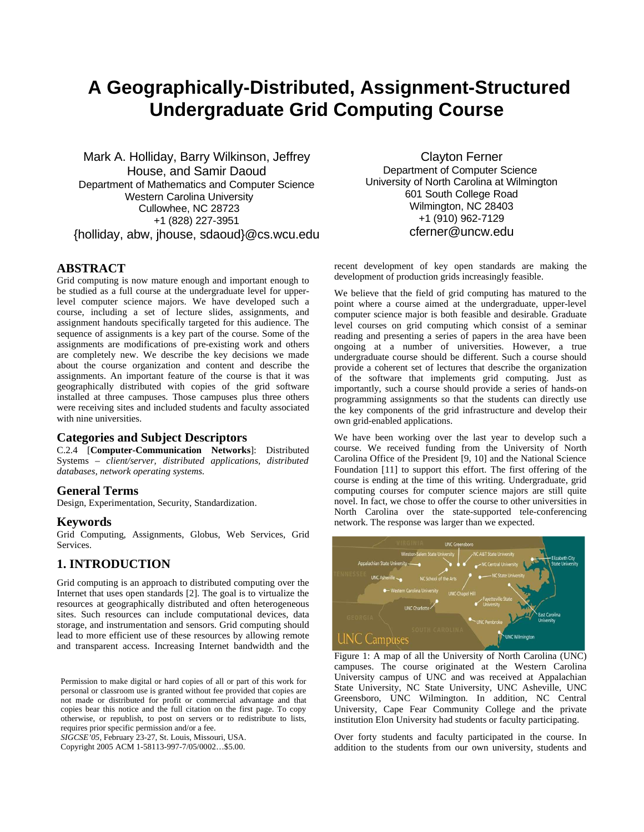# **A Geographically-Distributed, Assignment-Structured Undergraduate Grid Computing Course**

Mark A. Holliday, Barry Wilkinson, Jeffrey House, and Samir Daoud Department of Mathematics and Computer Science Western Carolina University Cullowhee, NC 28723 +1 (828) 227-3951 {holliday, abw, jhouse, sdaoud}@cs.wcu.edu

### **ABSTRACT**

Grid computing is now mature enough and important enough to be studied as a full course at the undergraduate level for upperlevel computer science majors. We have developed such a course, including a set of lecture slides, assignments, and assignment handouts specifically targeted for this audience. The sequence of assignments is a key part of the course. Some of the assignments are modifications of pre-existing work and others are completely new. We describe the key decisions we made about the course organization and content and describe the assignments. An important feature of the course is that it was geographically distributed with copies of the grid software installed at three campuses. Those campuses plus three others were receiving sites and included students and faculty associated with nine universities.

#### **Categories and Subject Descriptors**

C.2.4 [**Computer-Communication Networks**]: Distributed Systems – *client/server, distributed applications, distributed databases, network operating systems.*

#### **General Terms**

Design, Experimentation, Security, Standardization.

#### **Keywords**

Grid Computing, Assignments, Globus, Web Services, Grid Services.

## **1. INTRODUCTION**

Grid computing is an approach to distributed computing over the Internet that uses open standards [2]. The goal is to virtualize the resources at geographically distributed and often heterogeneous sites. Such resources can include computational devices, data storage, and instrumentation and sensors. Grid computing should lead to more efficient use of these resources by allowing remote and transparent access. Increasing Internet bandwidth and the

Permission to make digital or hard copies of all or part of this work for personal or classroom use is granted without fee provided that copies are not made or distributed for profit or commercial advantage and that copies bear this notice and the full citation on the first page. To copy otherwise, or republish, to post on servers or to redistribute to lists, requires prior specific permission and/or a fee.

*SIGCSE'05*, February 23-27, St. Louis, Missouri, USA.

Copyright 2005 ACM 1-58113-997-7/05/0002…\$5.00.

Clayton Ferner Department of Computer Science University of North Carolina at Wilmington 601 South College Road Wilmington, NC 28403 +1 (910) 962-7129 cferner@uncw.edu

recent development of key open standards are making the development of production grids increasingly feasible.

We believe that the field of grid computing has matured to the point where a course aimed at the undergraduate, upper-level computer science major is both feasible and desirable. Graduate level courses on grid computing which consist of a seminar reading and presenting a series of papers in the area have been ongoing at a number of universities. However, a true undergraduate course should be different. Such a course should provide a coherent set of lectures that describe the organization of the software that implements grid computing. Just as importantly, such a course should provide a series of hands-on programming assignments so that the students can directly use the key components of the grid infrastructure and develop their own grid-enabled applications.

We have been working over the last year to develop such a course. We received funding from the University of North Carolina Office of the President [9, 10] and the National Science Foundation [11] to support this effort. The first offering of the course is ending at the time of this writing. Undergraduate, grid computing courses for computer science majors are still quite novel. In fact, we chose to offer the course to other universities in North Carolina over the state-supported tele-conferencing network. The response was larger than we expected.



Figure 1: A map of all the University of North Carolina (UNC) campuses. The course originated at the Western Carolina University campus of UNC and was received at Appalachian State University, NC State University, UNC Asheville, UNC Greensboro, UNC Wilmington. In addition, NC Central University, Cape Fear Community College and the private institution Elon University had students or faculty participating.

Over forty students and faculty participated in the course. In addition to the students from our own university, students and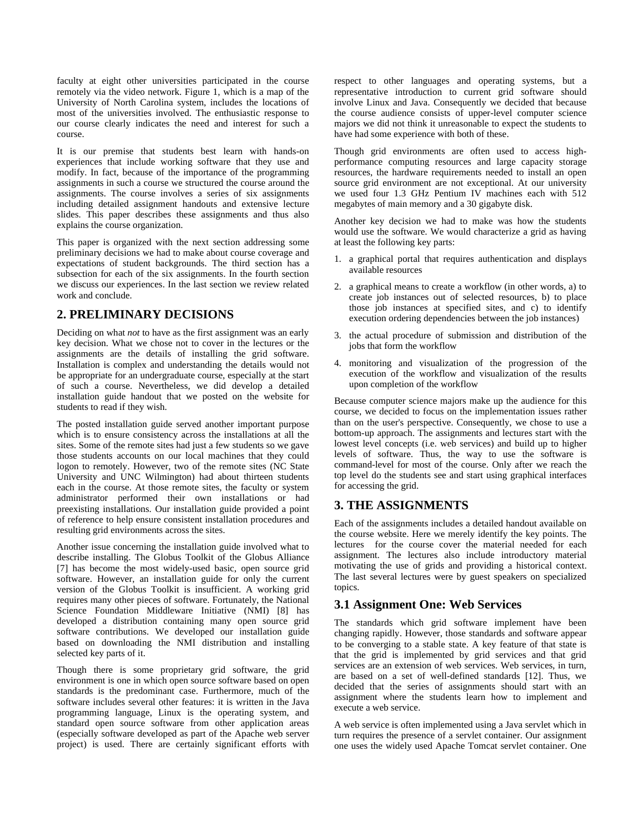faculty at eight other universities participated in the course remotely via the video network. Figure 1, which is a map of the University of North Carolina system, includes the locations of most of the universities involved. The enthusiastic response to our course clearly indicates the need and interest for such a course.

It is our premise that students best learn with hands-on experiences that include working software that they use and modify. In fact, because of the importance of the programming assignments in such a course we structured the course around the assignments. The course involves a series of six assignments including detailed assignment handouts and extensive lecture slides. This paper describes these assignments and thus also explains the course organization.

This paper is organized with the next section addressing some preliminary decisions we had to make about course coverage and expectations of student backgrounds. The third section has a subsection for each of the six assignments. In the fourth section we discuss our experiences. In the last section we review related work and conclude.

# **2. PRELIMINARY DECISIONS**

Deciding on what *not* to have as the first assignment was an early key decision. What we chose not to cover in the lectures or the assignments are the details of installing the grid software. Installation is complex and understanding the details would not be appropriate for an undergraduate course, especially at the start of such a course. Nevertheless, we did develop a detailed installation guide handout that we posted on the website for students to read if they wish.

The posted installation guide served another important purpose which is to ensure consistency across the installations at all the sites. Some of the remote sites had just a few students so we gave those students accounts on our local machines that they could logon to remotely. However, two of the remote sites (NC State University and UNC Wilmington) had about thirteen students each in the course. At those remote sites, the faculty or system administrator performed their own installations or had preexisting installations. Our installation guide provided a point of reference to help ensure consistent installation procedures and resulting grid environments across the sites.

Another issue concerning the installation guide involved what to describe installing. The Globus Toolkit of the Globus Alliance [7] has become the most widely-used basic, open source grid software. However, an installation guide for only the current version of the Globus Toolkit is insufficient. A working grid requires many other pieces of software. Fortunately, the National Science Foundation Middleware Initiative (NMI) [8] has developed a distribution containing many open source grid software contributions. We developed our installation guide based on downloading the NMI distribution and installing selected key parts of it.

Though there is some proprietary grid software, the grid environment is one in which open source software based on open standards is the predominant case. Furthermore, much of the software includes several other features: it is written in the Java programming language, Linux is the operating system, and standard open source software from other application areas (especially software developed as part of the Apache web server project) is used. There are certainly significant efforts with

respect to other languages and operating systems, but a representative introduction to current grid software should involve Linux and Java. Consequently we decided that because the course audience consists of upper-level computer science majors we did not think it unreasonable to expect the students to have had some experience with both of these.

Though grid environments are often used to access highperformance computing resources and large capacity storage resources, the hardware requirements needed to install an open source grid environment are not exceptional. At our university we used four 1.3 GHz Pentium IV machines each with 512 megabytes of main memory and a 30 gigabyte disk.

Another key decision we had to make was how the students would use the software. We would characterize a grid as having at least the following key parts:

- 1. a graphical portal that requires authentication and displays available resources
- 2. a graphical means to create a workflow (in other words, a) to create job instances out of selected resources, b) to place those job instances at specified sites, and c) to identify execution ordering dependencies between the job instances)
- 3. the actual procedure of submission and distribution of the jobs that form the workflow
- 4. monitoring and visualization of the progression of the execution of the workflow and visualization of the results upon completion of the workflow

Because computer science majors make up the audience for this course, we decided to focus on the implementation issues rather than on the user's perspective. Consequently, we chose to use a bottom-up approach. The assignments and lectures start with the lowest level concepts (i.e. web services) and build up to higher levels of software. Thus, the way to use the software is command-level for most of the course. Only after we reach the top level do the students see and start using graphical interfaces for accessing the grid.

# **3. THE ASSIGNMENTS**

Each of the assignments includes a detailed handout available on the course website. Here we merely identify the key points. The lectures for the course cover the material needed for each assignment. The lectures also include introductory material motivating the use of grids and providing a historical context. The last several lectures were by guest speakers on specialized topics.

## **3.1 Assignment One: Web Services**

The standards which grid software implement have been changing rapidly. However, those standards and software appear to be converging to a stable state. A key feature of that state is that the grid is implemented by grid services and that grid services are an extension of web services. Web services, in turn, are based on a set of well-defined standards [12]. Thus, we decided that the series of assignments should start with an assignment where the students learn how to implement and execute a web service.

A web service is often implemented using a Java servlet which in turn requires the presence of a servlet container. Our assignment one uses the widely used Apache Tomcat servlet container. One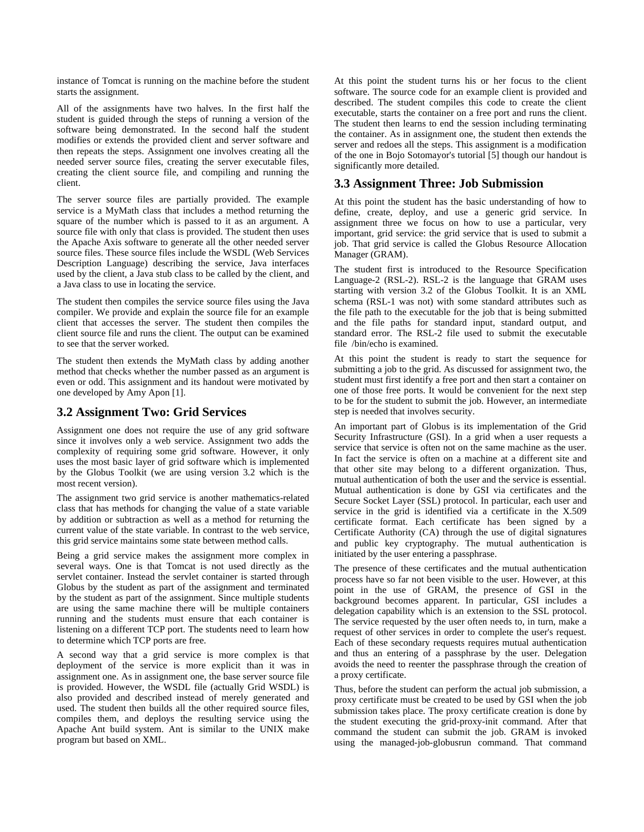instance of Tomcat is running on the machine before the student starts the assignment.

All of the assignments have two halves. In the first half the student is guided through the steps of running a version of the software being demonstrated. In the second half the student modifies or extends the provided client and server software and then repeats the steps. Assignment one involves creating all the needed server source files, creating the server executable files, creating the client source file, and compiling and running the client.

The server source files are partially provided. The example service is a MyMath class that includes a method returning the square of the number which is passed to it as an argument. A source file with only that class is provided. The student then uses the Apache Axis software to generate all the other needed server source files. These source files include the WSDL (Web Services Description Language) describing the service, Java interfaces used by the client, a Java stub class to be called by the client, and a Java class to use in locating the service.

The student then compiles the service source files using the Java compiler. We provide and explain the source file for an example client that accesses the server. The student then compiles the client source file and runs the client. The output can be examined to see that the server worked.

The student then extends the MyMath class by adding another method that checks whether the number passed as an argument is even or odd. This assignment and its handout were motivated by one developed by Amy Apon [1].

### **3.2 Assignment Two: Grid Services**

Assignment one does not require the use of any grid software since it involves only a web service. Assignment two adds the complexity of requiring some grid software. However, it only uses the most basic layer of grid software which is implemented by the Globus Toolkit (we are using version 3.2 which is the most recent version).

The assignment two grid service is another mathematics-related class that has methods for changing the value of a state variable by addition or subtraction as well as a method for returning the current value of the state variable. In contrast to the web service, this grid service maintains some state between method calls.

Being a grid service makes the assignment more complex in several ways. One is that Tomcat is not used directly as the servlet container. Instead the servlet container is started through Globus by the student as part of the assignment and terminated by the student as part of the assignment. Since multiple students are using the same machine there will be multiple containers running and the students must ensure that each container is listening on a different TCP port. The students need to learn how to determine which TCP ports are free.

A second way that a grid service is more complex is that deployment of the service is more explicit than it was in assignment one. As in assignment one, the base server source file is provided. However, the WSDL file (actually Grid WSDL) is also provided and described instead of merely generated and used. The student then builds all the other required source files, compiles them, and deploys the resulting service using the Apache Ant build system. Ant is similar to the UNIX make program but based on XML.

At this point the student turns his or her focus to the client software. The source code for an example client is provided and described. The student compiles this code to create the client executable, starts the container on a free port and runs the client. The student then learns to end the session including terminating the container. As in assignment one, the student then extends the server and redoes all the steps. This assignment is a modification of the one in Bojo Sotomayor's tutorial [5] though our handout is significantly more detailed.

# **3.3 Assignment Three: Job Submission**

At this point the student has the basic understanding of how to define, create, deploy, and use a generic grid service. In assignment three we focus on how to use a particular, very important, grid service: the grid service that is used to submit a job. That grid service is called the Globus Resource Allocation Manager (GRAM).

The student first is introduced to the Resource Specification Language-2 (RSL-2). RSL-2 is the language that GRAM uses starting with version 3.2 of the Globus Toolkit. It is an XML schema (RSL-1 was not) with some standard attributes such as the file path to the executable for the job that is being submitted and the file paths for standard input, standard output, and standard error. The RSL-2 file used to submit the executable file /bin/echo is examined.

At this point the student is ready to start the sequence for submitting a job to the grid. As discussed for assignment two, the student must first identify a free port and then start a container on one of those free ports. It would be convenient for the next step to be for the student to submit the job. However, an intermediate step is needed that involves security.

An important part of Globus is its implementation of the Grid Security Infrastructure (GSI). In a grid when a user requests a service that service is often not on the same machine as the user. In fact the service is often on a machine at a different site and that other site may belong to a different organization. Thus, mutual authentication of both the user and the service is essential. Mutual authentication is done by GSI via certificates and the Secure Socket Layer (SSL) protocol. In particular, each user and service in the grid is identified via a certificate in the X.509 certificate format. Each certificate has been signed by a Certificate Authority (CA) through the use of digital signatures and public key cryptography. The mutual authentication is initiated by the user entering a passphrase.

The presence of these certificates and the mutual authentication process have so far not been visible to the user. However, at this point in the use of GRAM, the presence of GSI in the background becomes apparent. In particular, GSI includes a delegation capability which is an extension to the SSL protocol. The service requested by the user often needs to, in turn, make a request of other services in order to complete the user's request. Each of these secondary requests requires mutual authentication and thus an entering of a passphrase by the user. Delegation avoids the need to reenter the passphrase through the creation of a proxy certificate.

Thus, before the student can perform the actual job submission, a proxy certificate must be created to be used by GSI when the job submission takes place. The proxy certificate creation is done by the student executing the grid-proxy-init command. After that command the student can submit the job. GRAM is invoked using the managed-job-globusrun command. That command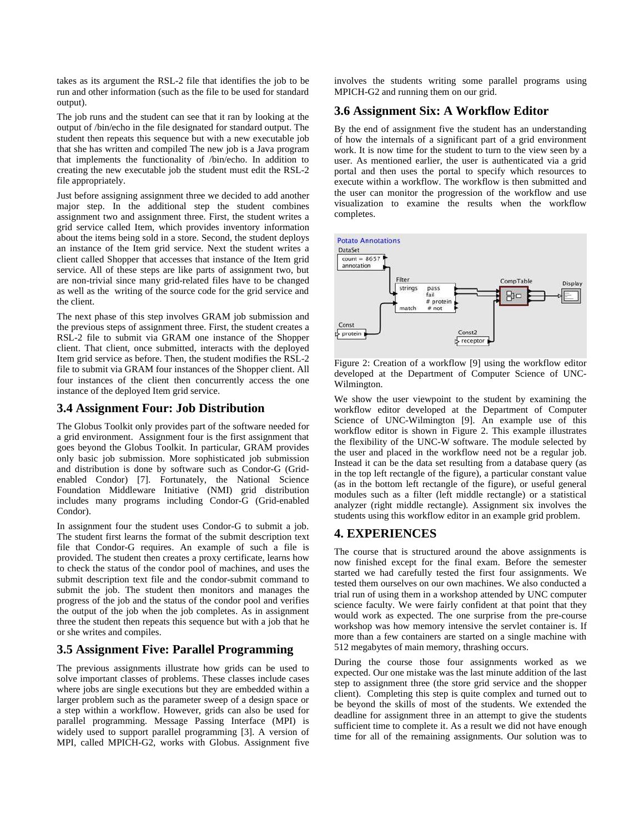takes as its argument the RSL-2 file that identifies the job to be run and other information (such as the file to be used for standard output).

The job runs and the student can see that it ran by looking at the output of /bin/echo in the file designated for standard output. The student then repeats this sequence but with a new executable job that she has written and compiled The new job is a Java program that implements the functionality of /bin/echo. In addition to creating the new executable job the student must edit the RSL-2 file appropriately.

Just before assigning assignment three we decided to add another major step. In the additional step the student combines assignment two and assignment three. First, the student writes a grid service called Item, which provides inventory information about the items being sold in a store. Second, the student deploys an instance of the Item grid service. Next the student writes a client called Shopper that accesses that instance of the Item grid service. All of these steps are like parts of assignment two, but are non-trivial since many grid-related files have to be changed as well as the writing of the source code for the grid service and the client.

The next phase of this step involves GRAM job submission and the previous steps of assignment three. First, the student creates a RSL-2 file to submit via GRAM one instance of the Shopper client. That client, once submitted, interacts with the deployed Item grid service as before. Then, the student modifies the RSL-2 file to submit via GRAM four instances of the Shopper client. All four instances of the client then concurrently access the one instance of the deployed Item grid service.

## **3.4 Assignment Four: Job Distribution**

The Globus Toolkit only provides part of the software needed for a grid environment. Assignment four is the first assignment that goes beyond the Globus Toolkit. In particular, GRAM provides only basic job submission. More sophisticated job submission and distribution is done by software such as Condor-G (Gridenabled Condor) [7]. Fortunately, the National Science Foundation Middleware Initiative (NMI) grid distribution includes many programs including Condor-G (Grid-enabled Condor).

In assignment four the student uses Condor-G to submit a job. The student first learns the format of the submit description text file that Condor-G requires. An example of such a file is provided. The student then creates a proxy certificate, learns how to check the status of the condor pool of machines, and uses the submit description text file and the condor-submit command to submit the job. The student then monitors and manages the progress of the job and the status of the condor pool and verifies the output of the job when the job completes. As in assignment three the student then repeats this sequence but with a job that he or she writes and compiles.

## **3.5 Assignment Five: Parallel Programming**

The previous assignments illustrate how grids can be used to solve important classes of problems. These classes include cases where jobs are single executions but they are embedded within a larger problem such as the parameter sweep of a design space or a step within a workflow. However, grids can also be used for parallel programming. Message Passing Interface (MPI) is widely used to support parallel programming [3]. A version of MPI, called MPICH-G2, works with Globus. Assignment five involves the students writing some parallel programs using MPICH-G2 and running them on our grid.

# **3.6 Assignment Six: A Workflow Editor**

By the end of assignment five the student has an understanding of how the internals of a significant part of a grid environment work. It is now time for the student to turn to the view seen by a user. As mentioned earlier, the user is authenticated via a grid portal and then uses the portal to specify which resources to execute within a workflow. The workflow is then submitted and the user can monitor the progression of the workflow and use visualization to examine the results when the workflow completes.



Figure 2: Creation of a workflow [9] using the workflow editor developed at the Department of Computer Science of UNC-Wilmington.

We show the user viewpoint to the student by examining the workflow editor developed at the Department of Computer Science of UNC-Wilmington [9]. An example use of this workflow editor is shown in Figure 2. This example illustrates the flexibility of the UNC-W software. The module selected by the user and placed in the workflow need not be a regular job. Instead it can be the data set resulting from a database query (as in the top left rectangle of the figure), a particular constant value (as in the bottom left rectangle of the figure), or useful general modules such as a filter (left middle rectangle) or a statistical analyzer (right middle rectangle). Assignment six involves the students using this workflow editor in an example grid problem.

## **4. EXPERIENCES**

The course that is structured around the above assignments is now finished except for the final exam. Before the semester started we had carefully tested the first four assignments. We tested them ourselves on our own machines. We also conducted a trial run of using them in a workshop attended by UNC computer science faculty. We were fairly confident at that point that they would work as expected. The one surprise from the pre-course workshop was how memory intensive the servlet container is. If more than a few containers are started on a single machine with 512 megabytes of main memory, thrashing occurs.

During the course those four assignments worked as we expected. Our one mistake was the last minute addition of the last step to assignment three (the store grid service and the shopper client). Completing this step is quite complex and turned out to be beyond the skills of most of the students. We extended the deadline for assignment three in an attempt to give the students sufficient time to complete it. As a result we did not have enough time for all of the remaining assignments. Our solution was to